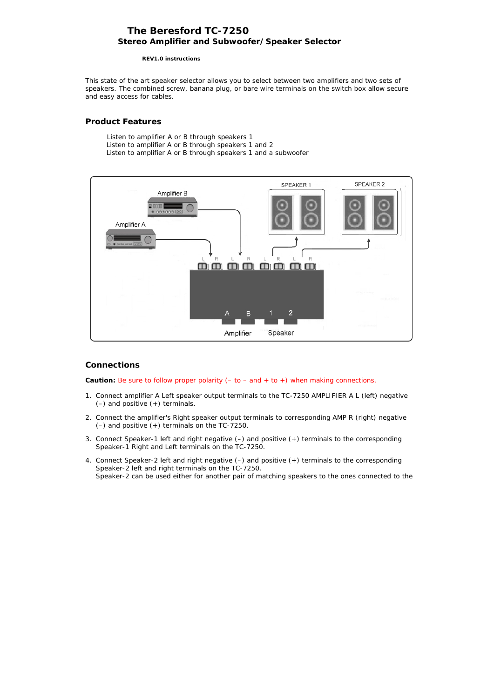# **The Beresford TC-7250 Stereo Amplifier and Subwoofer/Speaker Selector**

 **REV1.0 instructions**

This state of the art speaker selector allows you to select between two amplifiers and two sets of speakers. The combined screw, banana plug, or bare wire terminals on the switch box allow secure and easy access for cables.

## **Product Features**

 Listen to amplifier A or B through speakers 1 Listen to amplifier A or B through speakers 1 and 2 Listen to amplifier A or B through speakers 1 and a subwoofer



## **Connections**

**Caution:** Be sure to follow proper polarity (– to – and + to +) when making connections.

- 1. Connect amplifier A Left speaker output terminals to the TC-7250 AMPLIFIER A L (left) negative (–) and positive (+) terminals.
- 2. Connect the amplifier's Right speaker output terminals to corresponding AMP R (right) negative (–) and positive (+) terminals on the TC-7250.
- 3. Connect Speaker-1 left and right negative (–) and positive (+) terminals to the corresponding Speaker-1 Right and Left terminals on the TC-7250.
- 4. Connect Speaker-2 left and right negative (–) and positive (+) terminals to the corresponding Speaker-2 left and right terminals on the TC-7250. *Speaker-2 can be used either for another pair of matching speakers to the ones connected to the*